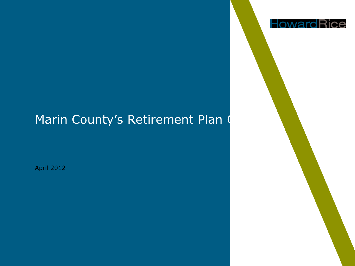# Marin County's Retirement Plan O

April 2012

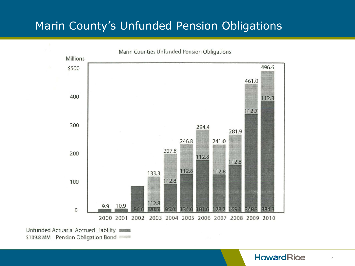## Marin County's Unfunded Pension Obligations



\$109.8 MM Pension Obligation Bond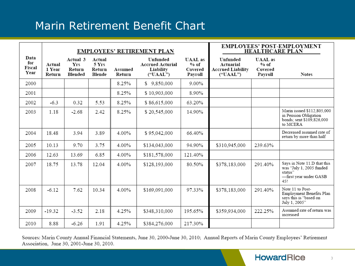## Marin Retirement Benefit Chart

|                               | <b>EMPLOYEES' RETIREMENT PLAN</b> |                                             |                                     |                   |                                                              |                                                | <b>EMPLOYEES' POST-EMPLOYMENT</b><br><b>HEALTHCARE PLAN</b>   |                                                |                                                                                                     |
|-------------------------------|-----------------------------------|---------------------------------------------|-------------------------------------|-------------------|--------------------------------------------------------------|------------------------------------------------|---------------------------------------------------------------|------------------------------------------------|-----------------------------------------------------------------------------------------------------|
| Data<br>for<br>Fiscal<br>Year | Actual<br>1 Year<br>Return        | Actual 3<br><b>Yrs</b><br>Return<br>Blended | Actual<br>5 Yrs<br>Return<br>Blende | Assumed<br>Return | Unfunded<br><b>Accrued Acturial</b><br>Liability<br>("UAAL") | <b>UAAL</b> as<br>$%$ of<br>Covered<br>Payroll | Unfunded<br>Actuarial<br><b>Accrued Liability</b><br>("UAAL") | <b>UAAL</b> as<br>$%$ of<br>Covered<br>Payroll | <b>Notes</b>                                                                                        |
| 2000                          |                                   |                                             |                                     | 8.25%             | \$9,850,000                                                  | $9.00\%$                                       |                                                               |                                                |                                                                                                     |
| 2001                          |                                   |                                             |                                     | 8.25%             | \$10,903,000                                                 | 8.90%                                          |                                                               |                                                |                                                                                                     |
| 2002                          | $-6.3$                            | 0.32                                        | 5.53                                | 8.25%             | \$86,615,000                                                 | 63.20%                                         |                                                               |                                                |                                                                                                     |
| 2003                          | 1.18                              | $-2.68$                                     | 2.42                                | 8.25%             | \$20,545,000                                                 | 14.90%                                         |                                                               |                                                | Marin issued \$112,805,000<br>in Pension Obligation<br>bonds; sent \$109,826,000<br>to MCERA        |
| 2004                          | 18.48                             | 3.94                                        | 3.89                                | 4.00%             | \$95,042,000                                                 | 66.40%                                         |                                                               |                                                | Decreased assumed rate of<br>return by more than half                                               |
| 2005                          | 10.13                             | 9.70                                        | 3.75                                | 4.00%             | \$134,043,000                                                | 94.90%                                         | \$310,945,000                                                 | 239.63%                                        |                                                                                                     |
| 2006                          | 12.63                             | 13.69                                       | 6.85                                | 4.00%             | \$181,578,000                                                | 121.40%                                        |                                                               |                                                |                                                                                                     |
| 2007                          | 18.75                             | 13.78                                       | 12.04                               | 4.00%             | \$128,193,000                                                | 80.50%                                         | \$378,183,000                                                 | 291.40%                                        | Says in Note 11.D that this<br>was "July 1, 2005 funded<br>status"<br>—first vear under GASB<br>45! |
| 2008                          | $-6.12$                           | 7.62                                        | 10.34                               | 4.00%             | \$169,091,000                                                | 97.33%                                         | \$378,183,000                                                 | 291.40%                                        | Note 11 to Post-<br>Employment Benefits Plan<br>says this is "based on<br>July 1, 2005"             |
| 2009                          | $-19.32$                          | $-3.52$                                     | 2.18                                | 4.25%             | \$348,310,000                                                | 195.65%                                        | \$359,934,000                                                 | 222.25%                                        | Assumed rate of return was<br>increased                                                             |
| 2010                          | 8.88                              | $-6.26$                                     | 1.91                                | 4.25%             | \$384,276,000                                                | 217.30%                                        |                                                               |                                                |                                                                                                     |

Sources: Marin County Annual Financial Statements, June 30, 2000-June 30, 2010; Annual Reports of Marin County Employees' Retirement Association, June 30, 2001-June 30, 2010.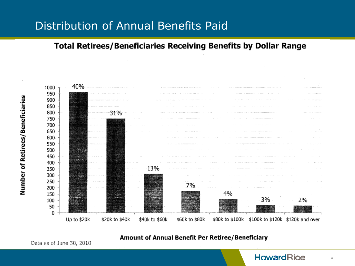### Distribution of Annual Benefits Paid

#### **Total Retirees/Beneficiaries Receiving Benefits by Dollar Range**





Amount of Annual Benefit Per Retiree/Beneficiary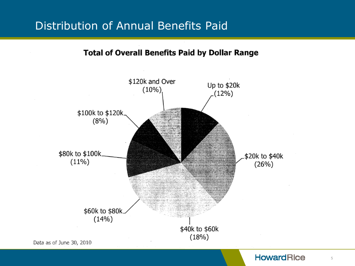## Distribution of Annual Benefits Paid

**Total of Overall Benefits Paid by Dollar Range** 



#### **HowardRice**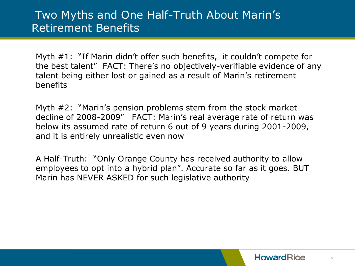## Two Myths and One Half-Truth About Marin's Retirement Benefits

Myth #1: "If Marin didn't offer such benefits, it couldn't compete for the best talent" FACT: There's no objectively-verifiable evidence of any talent being either lost or gained as a result of Marin's retirement benefits

Myth #2: "Marin's pension problems stem from the stock market decline of 2008-2009" FACT: Marin's real average rate of return was below its assumed rate of return 6 out of 9 years during 2001-2009, and it is entirely unrealistic even now

A Half-Truth: "Only Orange County has received authority to allow employees to opt into a hybrid plan". Accurate so far as it goes. BUT Marin has NEVER ASKED for such legislative authority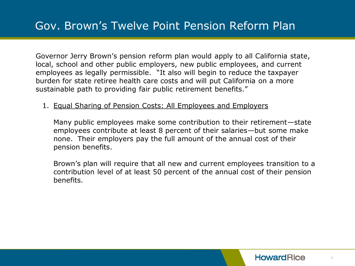Governor Jerry Brown's pension reform plan would apply to all California state, local, school and other public employers, new public employees, and current employees as legally permissible. "It also will begin to reduce the taxpayer burden for state retiree health care costs and will put California on a more sustainable path to providing fair public retirement benefits."

#### 1. Equal Sharing of Pension Costs: All Employees and Employers

Many public employees make some contribution to their retirement—state employees contribute at least 8 percent of their salaries—but some make none. Their employers pay the full amount of the annual cost of their pension benefits.

Brown's plan will require that all new and current employees transition to a contribution level of at least 50 percent of the annual cost of their pension benefits.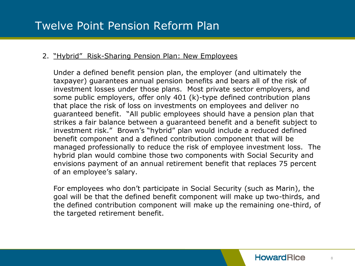#### 2. "Hybrid" Risk-Sharing Pension Plan: New Employees

Under a defined benefit pension plan, the employer (and ultimately the taxpayer) guarantees annual pension benefits and bears all of the risk of investment losses under those plans. Most private sector employers, and some public employers, offer only 401 (k)-type defined contribution plans that place the risk of loss on investments on employees and deliver no guaranteed benefit. "All public employees should have a pension plan that strikes a fair balance between a guaranteed benefit and a benefit subject to investment risk." Brown's "hybrid" plan would include a reduced defined benefit component and a defined contribution component that will be managed professionally to reduce the risk of employee investment loss. The hybrid plan would combine those two components with Social Security and envisions payment of an annual retirement benefit that replaces 75 percent of an employee's salary.

For employees who don't participate in Social Security (such as Marin), the goal will be that the defined benefit component will make up two-thirds, and the defined contribution component will make up the remaining one-third, of the targeted retirement benefit.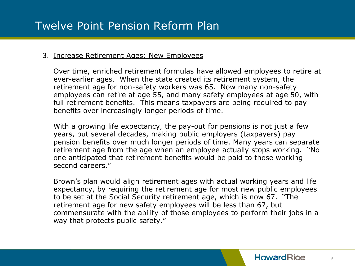#### 3. Increase Retirement Ages: New Employees

Over time, enriched retirement formulas have allowed employees to retire at ever-earlier ages. When the state created its retirement system, the retirement age for non-safety workers was 65. Now many non-safety employees can retire at age 55, and many safety employees at age 50, with full retirement benefits. This means taxpayers are being required to pay benefits over increasingly longer periods of time.

With a growing life expectancy, the pay-out for pensions is not just a few years, but several decades, making public employers (taxpayers) pay pension benefits over much longer periods of time. Many years can separate retirement age from the age when an employee actually stops working. "No one anticipated that retirement benefits would be paid to those working second careers."

Brown's plan would align retirement ages with actual working years and life expectancy, by requiring the retirement age for most new public employees to be set at the Social Security retirement age, which is now 67. "The retirement age for new safety employees will be less than 67, but commensurate with the ability of those employees to perform their jobs in a way that protects public safety."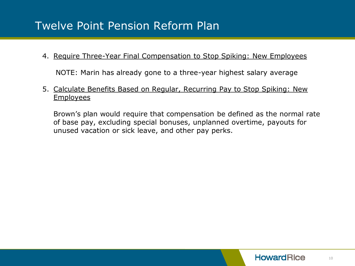#### 4. Require Three-Year Final Compensation to Stop Spiking: New Employees

NOTE: Marin has already gone to a three-year highest salary average

#### 5. Calculate Benefits Based on Regular, Recurring Pay to Stop Spiking: New Employees

Brown's plan would require that compensation be defined as the normal rate of base pay, excluding special bonuses, unplanned overtime, payouts for unused vacation or sick leave, and other pay perks.

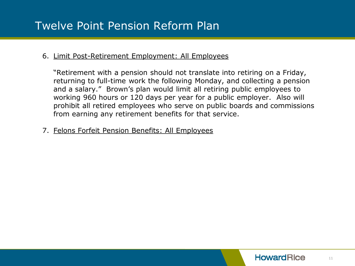#### 6. Limit Post-Retirement Employment: All Employees

"Retirement with a pension should not translate into retiring on a Friday, returning to full-time work the following Monday, and collecting a pension and a salary." Brown's plan would limit all retiring public employees to working 960 hours or 120 days per year for a public employer. Also will prohibit all retired employees who serve on public boards and commissions from earning any retirement benefits for that service.

7. Felons Forfeit Pension Benefits: All Employees

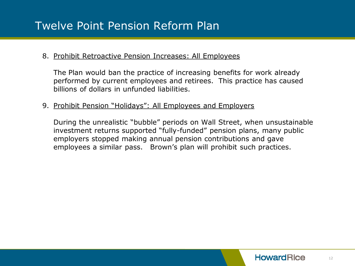#### 8. Prohibit Retroactive Pension Increases: All Employees

The Plan would ban the practice of increasing benefits for work already performed by current employees and retirees. This practice has caused billions of dollars in unfunded liabilities.

#### 9. Prohibit Pension "Holidays": All Employees and Employers

During the unrealistic "bubble" periods on Wall Street, when unsustainable investment returns supported "fully-funded" pension plans, many public employers stopped making annual pension contributions and gave employees a similar pass. Brown's plan will prohibit such practices.

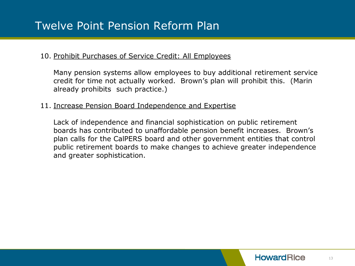#### 10. Prohibit Purchases of Service Credit: All Employees

Many pension systems allow employees to buy additional retirement service credit for time not actually worked. Brown's plan will prohibit this. (Marin already prohibits such practice.)

#### 11. Increase Pension Board Independence and Expertise

Lack of independence and financial sophistication on public retirement boards has contributed to unaffordable pension benefit increases. Brown's plan calls for the CalPERS board and other government entities that control public retirement boards to make changes to achieve greater independence and greater sophistication.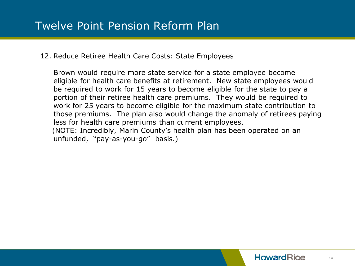#### 12. Reduce Retiree Health Care Costs: State Employees

Brown would require more state service for a state employee become eligible for health care benefits at retirement. New state employees would be required to work for 15 years to become eligible for the state to pay a portion of their retiree health care premiums. They would be required to work for 25 years to become eligible for the maximum state contribution to those premiums. The plan also would change the anomaly of retirees paying less for health care premiums than current employees. (NOTE: Incredibly, Marin County's health plan has been operated on an unfunded, "pay-as-you-go" basis.)

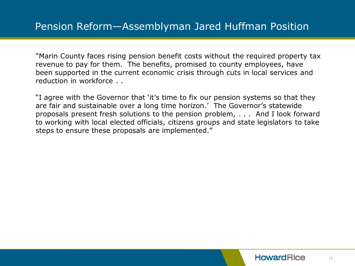"Marin County faces rising pension benefit costs without the required property tax revenue to pay for them. The benefits, promised to county employees, have been supported in the current economic crisis through cuts in local services and reduction in workforce . .

"I agree with the Governor that 'it's time to fix our pension systems so that they are fair and sustainable over a long time horizon.' The Governor's statewide proposals present fresh solutions to the pension problem, . . . And I look forward to working with local elected officials, citizens groups and state legislators to take steps to ensure these proposals are implemented."